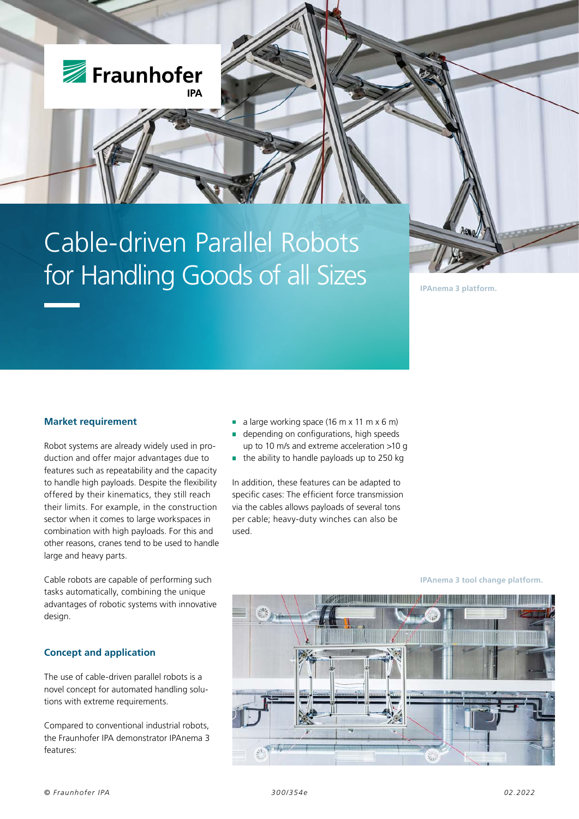

# Cable-driven Parallel Robots for Handling Goods of all Sizes

## **IPAnema 3 platform.**

# **Market requirement**

Robot systems are already widely used in production and offer major advantages due to features such as repeatability and the capacity to handle high payloads. Despite the flexibility offered by their kinematics, they still reach their limits. For example, in the construction sector when it comes to large workspaces in combination with high payloads. For this and other reasons, cranes tend to be used to handle large and heavy parts.

Cable robots are capable of performing such tasks automatically, combining the unique advantages of robotic systems with innovative design.

# **Concept and application**

The use of cable-driven parallel robots is a novel concept for automated handling solutions with extreme requirements.

Compared to conventional industrial robots, the Fraunhofer IPA demonstrator IPAnema 3 features:

- a large working space  $(16 \text{ m} \times 11 \text{ m} \times 6 \text{ m})$
- depending on configurations, high speeds up to 10 m/s and extreme acceleration >10 g
- $\blacksquare$  the ability to handle payloads up to 250 kg

In addition, these features can be adapted to specific cases: The efficient force transmission via the cables allows payloads of several tons per cable; heavy-duty winches can also be used.



**IPAnema 3 tool change platform.**